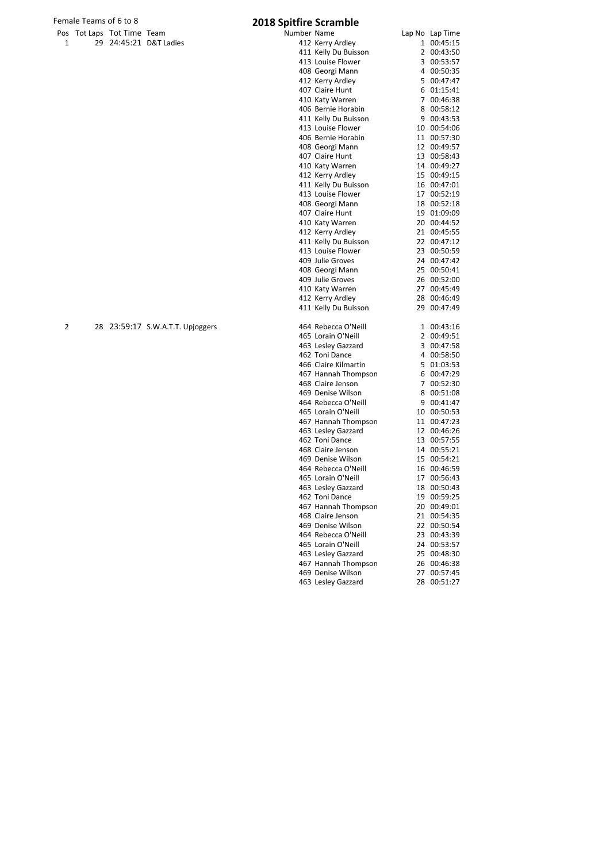Female Teams of 6 to 8<br>
Pos Tot Laps Tot Time Team **2018 Spitfire Scramble** 

| Pos | Tot Laps Tot Time Team |                                  | Number Name |                      | Lap No Lap Time |
|-----|------------------------|----------------------------------|-------------|----------------------|-----------------|
| 1   |                        | 29 24:45:21 D&T Ladies           |             | 412 Kerry Ardley     | 1 00:45:15      |
|     |                        |                                  |             | 411 Kelly Du Buisson | 2 00:43:50      |
|     |                        |                                  |             | 413 Louise Flower    | 3 00:53:57      |
|     |                        |                                  |             | 408 Georgi Mann      | 4 00:50:35      |
|     |                        |                                  |             | 412 Kerry Ardley     | 5 00:47:47      |
|     |                        |                                  |             | 407 Claire Hunt      | 6 01:15:41      |
|     |                        |                                  |             | 410 Katy Warren      | 7 00:46:38      |
|     |                        |                                  |             | 406 Bernie Horabin   | 8 00:58:12      |
|     |                        |                                  |             | 411 Kelly Du Buisson | 9 00:43:53      |
|     |                        |                                  |             | 413 Louise Flower    | 10 00:54:06     |
|     |                        |                                  |             | 406 Bernie Horabin   | 11 00:57:30     |
|     |                        |                                  |             | 408 Georgi Mann      | 12 00:49:57     |
|     |                        |                                  |             | 407 Claire Hunt      | 13 00:58:43     |
|     |                        |                                  |             | 410 Katy Warren      | 14 00:49:27     |
|     |                        |                                  |             | 412 Kerry Ardley     | 15 00:49:15     |
|     |                        |                                  |             | 411 Kelly Du Buisson | 16 00:47:01     |
|     |                        |                                  |             | 413 Louise Flower    | 17 00:52:19     |
|     |                        |                                  |             | 408 Georgi Mann      | 18 00:52:18     |
|     |                        |                                  |             | 407 Claire Hunt      | 19 01:09:09     |
|     |                        |                                  |             | 410 Katy Warren      | 20 00:44:52     |
|     |                        |                                  |             | 412 Kerry Ardley     | 21 00:45:55     |
|     |                        |                                  |             | 411 Kelly Du Buisson | 22 00:47:12     |
|     |                        |                                  |             | 413 Louise Flower    | 23 00:50:59     |
|     |                        |                                  |             | 409 Julie Groves     | 24 00:47:42     |
|     |                        |                                  |             | 408 Georgi Mann      | 25 00:50:41     |
|     |                        |                                  |             | 409 Julie Groves     | 26 00:52:00     |
|     |                        |                                  |             | 410 Katy Warren      | 27 00:45:49     |
|     |                        |                                  |             | 412 Kerry Ardley     | 28 00:46:49     |
|     |                        |                                  |             | 411 Kelly Du Buisson | 29 00:47:49     |
| 2   |                        | 28 23:59:17 S.W.A.T.T. Upjoggers |             | 464 Rebecca O'Neill  | 1 00:43:16      |
|     |                        |                                  |             | 465 Lorain O'Neill   | 2 00:49:51      |
|     |                        |                                  |             | 463 Lesley Gazzard   | 3 00:47:58      |
|     |                        |                                  |             | 462 Toni Dance       | 4 00:58:50      |
|     |                        |                                  |             | 466 Claire Kilmartin | 5 01:03:53      |
|     |                        |                                  |             | 467 Hannah Thompson  | 6 00:47:29      |
|     |                        |                                  |             | 468 Claire Jenson    | 7 00:52:30      |
|     |                        |                                  |             | 469 Denise Wilson    | 8 00:51:08      |
|     |                        |                                  |             | 464 Rebecca O'Neill  | 9 00:41:47      |
|     |                        |                                  |             | 465 Lorain O'Neill   | 10 00:50:53     |
|     |                        |                                  |             | 467 Hannah Thompson  | 11 00:47:23     |
|     |                        |                                  |             | 463 Lesley Gazzard   | 12 00:46:26     |
|     |                        |                                  |             | 462 Toni Dance       | 13 00:57:55     |
|     |                        |                                  |             | 468 Claire Jenson    | 14 00:55:21     |
|     |                        |                                  |             | 469 Denise Wilson    | 15 00:54:21     |
|     |                        |                                  |             | 464 Rebecca O'Neill  | 16 00:46:59     |
|     |                        |                                  |             | 465 Lorain O'Neill   | 17 00:56:43     |
|     |                        |                                  |             | 463 Lesley Gazzard   | 18 00:50:43     |
|     |                        |                                  |             | 462 Toni Dance       | 19 00:59:25     |
|     |                        |                                  |             | 467 Hannah Thompson  | 20 00:49:01     |
|     |                        |                                  |             | 468 Claire Jenson    | 21 00:54:35     |
|     |                        |                                  |             | 469 Denise Wilson    | 22 00:50:54     |
|     |                        |                                  |             | 464 Rebecca O'Neill  | 23 00:43:39     |
|     |                        |                                  |             | 465 Lorain O'Neill   | 24 00:53:57     |
|     |                        |                                  |             | 463 Lesley Gazzard   | 25 00:48:30     |
|     |                        |                                  |             | 467 Hannah Thompson  | 26 00:46:38     |
|     |                        |                                  |             | 469 Denise Wilson    | 27 00:57:45     |
|     |                        |                                  |             | 463 Lesley Gazzard   | 28 00:51:27     |
|     |                        |                                  |             |                      |                 |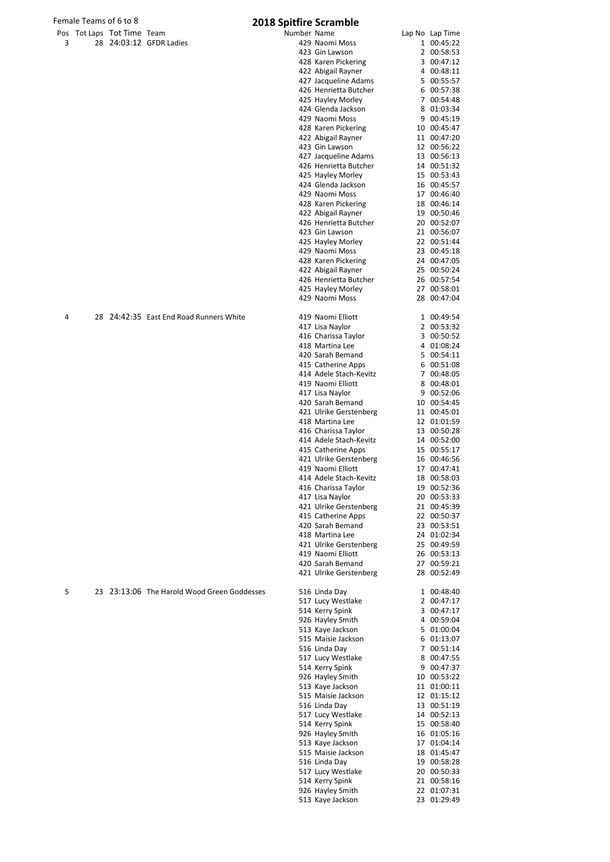| Female Teams of 6 to 8 |  |                            |                         | <b>2018 Spitfire Scramble</b> |  |                 |
|------------------------|--|----------------------------|-------------------------|-------------------------------|--|-----------------|
|                        |  | Pos Tot Laps Tot Time Team |                         | Number Name                   |  | Lap No Lap Time |
|                        |  |                            | 28 24:03:12 GFDR Ladies | 429 Naomi Moss                |  | 1 00:45:22      |
|                        |  |                            |                         | 423 Gin Lawson                |  | 2 00:58:53      |
|                        |  |                            |                         |                               |  |                 |

|   | male Teams of 6 to 8      |                                             | 2018 Spitfire Scramble |                                              |                            |
|---|---------------------------|---------------------------------------------|------------------------|----------------------------------------------|----------------------------|
|   | os Tot Laps Tot Time Team |                                             | Number Name            |                                              | Lap No Lap Time            |
| 3 |                           | 28 24:03:12 GFDR Ladies                     |                        | 429 Naomi Moss                               | 1 00:45:22                 |
|   |                           |                                             |                        | 423 Gin Lawson                               | 2 00:58:53                 |
|   |                           |                                             |                        | 428 Karen Pickering                          | 3 00:47:12                 |
|   |                           |                                             |                        | 422 Abigail Rayner                           | 4 00:48:11                 |
|   |                           |                                             |                        | 427 Jacqueline Adams                         | 5 00:55:57                 |
|   |                           |                                             |                        | 426 Henrietta Butcher                        | 6 00:57:38                 |
|   |                           |                                             |                        | 425 Hayley Morley<br>424 Glenda Jackson      | 7 00:54:48<br>8 01:03:34   |
|   |                           |                                             |                        | 429 Naomi Moss                               | 9 00:45:19                 |
|   |                           |                                             |                        | 428 Karen Pickering                          | 10 00:45:47                |
|   |                           |                                             |                        | 422 Abigail Rayner                           | 11 00:47:20                |
|   |                           |                                             |                        | 423 Gin Lawson                               | 12 00:56:22                |
|   |                           |                                             |                        | 427 Jacqueline Adams                         | 13 00:56:13                |
|   |                           |                                             |                        | 426 Henrietta Butcher                        | 14 00:51:32                |
|   |                           |                                             |                        | 425 Hayley Morley                            | 15 00:53:43                |
|   |                           |                                             |                        | 424 Glenda Jackson                           | 16 00:45:57                |
|   |                           |                                             |                        | 429 Naomi Moss                               | 17 00:46:40                |
|   |                           |                                             |                        | 428 Karen Pickering                          | 18 00:46:14                |
|   |                           |                                             |                        | 422 Abigail Rayner                           | 19 00:50:46                |
|   |                           |                                             |                        | 426 Henrietta Butcher                        | 20 00:52:07                |
|   |                           |                                             |                        | 423 Gin Lawson                               | 21 00:56:07                |
|   |                           |                                             |                        | 425 Hayley Morley                            | 22 00:51:44                |
|   |                           |                                             |                        | 429 Naomi Moss                               | 23 00:45:18                |
|   |                           |                                             |                        | 428 Karen Pickering                          | 24 00:47:05                |
|   |                           |                                             |                        | 422 Abigail Rayner                           | 25 00:50:24                |
|   |                           |                                             |                        | 426 Henrietta Butcher<br>425 Hayley Morley   | 26 00:57:54<br>27 00:58:01 |
|   |                           |                                             |                        | 429 Naomi Moss                               | 28 00:47:04                |
|   |                           |                                             |                        |                                              |                            |
| 4 |                           | 28 24:42:35 East End Road Runners White     |                        | 419 Naomi Elliott                            | 1 00:49:54                 |
|   |                           |                                             |                        | 417 Lisa Naylor                              | 2 00:53:32                 |
|   |                           |                                             |                        | 416 Charissa Taylor                          | 3 00:50:52                 |
|   |                           |                                             |                        | 418 Martina Lee                              | 4 01:08:24                 |
|   |                           |                                             |                        | 420 Sarah Bemand                             | 5 00:54:11<br>6 00:51:08   |
|   |                           |                                             |                        | 415 Catherine Apps<br>414 Adele Stach-Kevitz | 7 00:48:05                 |
|   |                           |                                             |                        | 419 Naomi Elliott                            | 8 00:48:01                 |
|   |                           |                                             |                        | 417 Lisa Naylor                              | 9 00:52:06                 |
|   |                           |                                             |                        | 420 Sarah Bemand                             | 10 00:54:45                |
|   |                           |                                             |                        | 421 Ulrike Gerstenberg                       | 11 00:45:01                |
|   |                           |                                             |                        | 418 Martina Lee                              | 12 01:01:59                |
|   |                           |                                             |                        | 416 Charissa Taylor                          | 13 00:50:28                |
|   |                           |                                             |                        | 414 Adele Stach-Kevitz                       | 14 00:52:00                |
|   |                           |                                             |                        | 415 Catherine Apps                           | 15 00:55:17                |
|   |                           |                                             |                        | 421 Ulrike Gerstenberg                       | 16 00:46:56                |
|   |                           |                                             |                        | 419 Naomi Elliott                            | 17 00:47:41                |
|   |                           |                                             |                        | 414 Adele Stach-Kevitz                       | 18 00:58:03                |
|   |                           |                                             |                        | 416 Charissa Taylor                          | 19 00:52:36                |
|   |                           |                                             |                        | 417 Lisa Naylor<br>421 Ulrike Gerstenberg    | 20 00:53:33<br>21 00:45:39 |
|   |                           |                                             |                        | 415 Catherine Apps                           | 22 00:50:37                |
|   |                           |                                             |                        | 420 Sarah Bemand                             | 23 00:53:51                |
|   |                           |                                             |                        | 418 Martina Lee                              | 24 01:02:34                |
|   |                           |                                             |                        | 421 Ulrike Gerstenberg                       | 25 00:49:59                |
|   |                           |                                             |                        | 419 Naomi Elliott                            | 26 00:53:13                |
|   |                           |                                             |                        | 420 Sarah Bemand                             | 27 00:59:21                |
|   |                           |                                             |                        | 421 Ulrike Gerstenberg                       | 28 00:52:49                |
| 5 |                           | 23 23:13:06 The Harold Wood Green Goddesses |                        | 516 Linda Day                                | 1 00:48:40                 |
|   |                           |                                             |                        | 517 Lucy Westlake                            | 2 00:47:17                 |
|   |                           |                                             |                        | 514 Kerry Spink                              | 3 00:47:17                 |
|   |                           |                                             |                        | 926 Hayley Smith                             | 4 00:59:04                 |
|   |                           |                                             |                        | 513 Kaye Jackson                             | 5 01:00:04                 |
|   |                           |                                             |                        | 515 Maisie Jackson                           | 6 01:13:07                 |
|   |                           |                                             |                        | 516 Linda Day                                | 7 00:51:14                 |
|   |                           |                                             |                        | 517 Lucy Westlake                            | 8 00:47:55                 |
|   |                           |                                             |                        | 514 Kerry Spink                              | 9 00:47:37                 |
|   |                           |                                             |                        | 926 Hayley Smith                             | 10 00:53:22                |
|   |                           |                                             |                        | 513 Kaye Jackson                             | 11 01:00:11                |
|   |                           |                                             |                        | 515 Maisie Jackson<br>516 Linda Day          | 12 01:15:12<br>13 00:51:19 |
|   |                           |                                             |                        | 517 Lucy Westlake                            | 14 00:52:13                |
|   |                           |                                             |                        | 514 Kerry Spink                              | 15 00:58:40                |
|   |                           |                                             |                        | 926 Hayley Smith                             | 16 01:05:16                |
|   |                           |                                             |                        | 513 Kaye Jackson                             | 17 01:04:14                |
|   |                           |                                             |                        | 515 Maisie Jackson                           | 18 01:45:47                |
|   |                           |                                             |                        | 516 Linda Day                                | 19 00:58:28                |
|   |                           |                                             |                        | 517 Lucy Westlake                            | 20 00:50:33                |
|   |                           |                                             |                        | 514 Kerry Spink<br>926 Hayley Smith          | 21 00:58:16<br>22 01:07:31 |
|   |                           |                                             |                        | 513 Kaye Jackson                             | 23 01:29:49                |
|   |                           |                                             |                        |                                              |                            |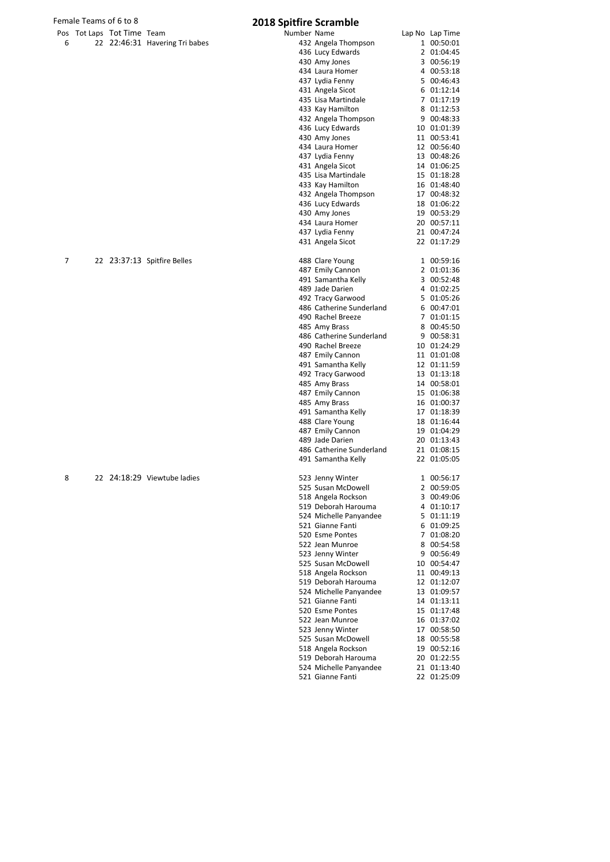# Female Teams of 6 to 8<br>
Pos Tot Laps Tot Time Team **2018 Spitfire Scramble**

|   | <b>103 TULLADS TULTIME I CAMI</b> |                                |
|---|-----------------------------------|--------------------------------|
| 6 |                                   | 22 22:46:31 Havering Tri babes |

| Pos | Tot Laps Tot Time Team |                                | Number Name |                          | Lap No Lap Time |
|-----|------------------------|--------------------------------|-------------|--------------------------|-----------------|
| 6   |                        | 22 22:46:31 Havering Tri babes |             | 432 Angela Thompson      | 1 00:50:01      |
|     |                        |                                |             | 436 Lucy Edwards         | 2 01:04:45      |
|     |                        |                                |             |                          | 3 00:56:19      |
|     |                        |                                |             | 430 Amy Jones            |                 |
|     |                        |                                |             | 434 Laura Homer          | 4 00:53:18      |
|     |                        |                                |             | 437 Lydia Fenny          | 5 00:46:43      |
|     |                        |                                |             | 431 Angela Sicot         | 6 01:12:14      |
|     |                        |                                |             | 435 Lisa Martindale      | 7 01:17:19      |
|     |                        |                                |             | 433 Kay Hamilton         | 8 01:12:53      |
|     |                        |                                |             | 432 Angela Thompson      | 9 00:48:33      |
|     |                        |                                |             | 436 Lucy Edwards         | 10 01:01:39     |
|     |                        |                                |             | 430 Amy Jones            | 11 00:53:41     |
|     |                        |                                |             | 434 Laura Homer          | 12 00:56:40     |
|     |                        |                                |             | 437 Lydia Fenny          | 13 00:48:26     |
|     |                        |                                |             | 431 Angela Sicot         | 14 01:06:25     |
|     |                        |                                |             | 435 Lisa Martindale      | 15 01:18:28     |
|     |                        |                                |             | 433 Kay Hamilton         | 16 01:48:40     |
|     |                        |                                |             | 432 Angela Thompson      | 17 00:48:32     |
|     |                        |                                |             |                          | 18 01:06:22     |
|     |                        |                                |             | 436 Lucy Edwards         |                 |
|     |                        |                                |             | 430 Amy Jones            | 19 00:53:29     |
|     |                        |                                |             | 434 Laura Homer          | 20 00:57:11     |
|     |                        |                                |             | 437 Lydia Fenny          | 21 00:47:24     |
|     |                        |                                |             | 431 Angela Sicot         | 22 01:17:29     |
|     |                        |                                |             |                          |                 |
| 7   |                        | 22 23:37:13 Spitfire Belles    |             | 488 Clare Young          | 1 00:59:16      |
|     |                        |                                |             | 487 Emily Cannon         | 2 01:01:36      |
|     |                        |                                |             | 491 Samantha Kelly       | 3 00:52:48      |
|     |                        |                                |             | 489 Jade Darien          | 4 01:02:25      |
|     |                        |                                |             | 492 Tracy Garwood        | 5 01:05:26      |
|     |                        |                                |             | 486 Catherine Sunderland | 6 00:47:01      |
|     |                        |                                |             | 490 Rachel Breeze        | 7 01:01:15      |
|     |                        |                                |             | 485 Amy Brass            | 8 00:45:50      |
|     |                        |                                |             | 486 Catherine Sunderland | 9 00:58:31      |
|     |                        |                                |             |                          |                 |
|     |                        |                                |             | 490 Rachel Breeze        | 10 01:24:29     |
|     |                        |                                |             | 487 Emily Cannon         | 11 01:01:08     |
|     |                        |                                |             | 491 Samantha Kelly       | 12 01:11:59     |
|     |                        |                                |             | 492 Tracy Garwood        | 13 01:13:18     |
|     |                        |                                |             | 485 Amy Brass            | 14 00:58:01     |
|     |                        |                                |             | 487 Emily Cannon         | 15 01:06:38     |
|     |                        |                                |             | 485 Amy Brass            | 16 01:00:37     |
|     |                        |                                |             | 491 Samantha Kelly       | 17 01:18:39     |
|     |                        |                                |             | 488 Clare Young          | 18 01:16:44     |
|     |                        |                                |             | 487 Emily Cannon         | 19 01:04:29     |
|     |                        |                                |             | 489 Jade Darien          | 20 01:13:43     |
|     |                        |                                |             | 486 Catherine Sunderland | 21 01:08:15     |
|     |                        |                                |             | 491 Samantha Kelly       | 22 01:05:05     |
|     |                        |                                |             |                          |                 |
| 8   |                        | 22 24:18:29 Viewtube ladies    |             | 523 Jenny Winter         | 1 00:56:17      |
|     |                        |                                |             | 525 Susan McDowell       | 2 00:59:05      |
|     |                        |                                |             | 518 Angela Rockson       | 3 00:49:06      |
|     |                        |                                |             | 519 Deborah Harouma      | 4 01:10:17      |
|     |                        |                                |             | 524 Michelle Panyandee   | 5 01:11:19      |
|     |                        |                                |             |                          |                 |
|     |                        |                                |             | 521 Gianne Fanti         | 6 01:09:25      |
|     |                        |                                |             | 520 Esme Pontes          | 7 01:08:20      |
|     |                        |                                |             | 522 Jean Munroe          | 8 00:54:58      |
|     |                        |                                |             | 523 Jenny Winter         | 9 00:56:49      |
|     |                        |                                |             | 525 Susan McDowell       | 10 00:54:47     |
|     |                        |                                |             | 518 Angela Rockson       | 11 00:49:13     |
|     |                        |                                |             | 519 Deborah Harouma      | 12 01:12:07     |
|     |                        |                                |             | 524 Michelle Panyandee   | 13 01:09:57     |
|     |                        |                                |             | 521 Gianne Fanti         | 14 01:13:11     |
|     |                        |                                |             | 520 Esme Pontes          | 15 01:17:48     |
|     |                        |                                |             | 522 Jean Munroe          | 16 01:37:02     |
|     |                        |                                |             | 523 Jenny Winter         | 17 00:58:50     |
|     |                        |                                |             | 525 Susan McDowell       | 18 00:55:58     |
|     |                        |                                |             | 518 Angela Rockson       | 19 00:52:16     |
|     |                        |                                |             | 519 Deborah Harouma      | 20 01:22:55     |
|     |                        |                                |             | 524 Michelle Panyandee   | 21 01:13:40     |
|     |                        |                                |             |                          |                 |
|     |                        |                                |             | 521 Gianne Fanti         | 22 01:25:09     |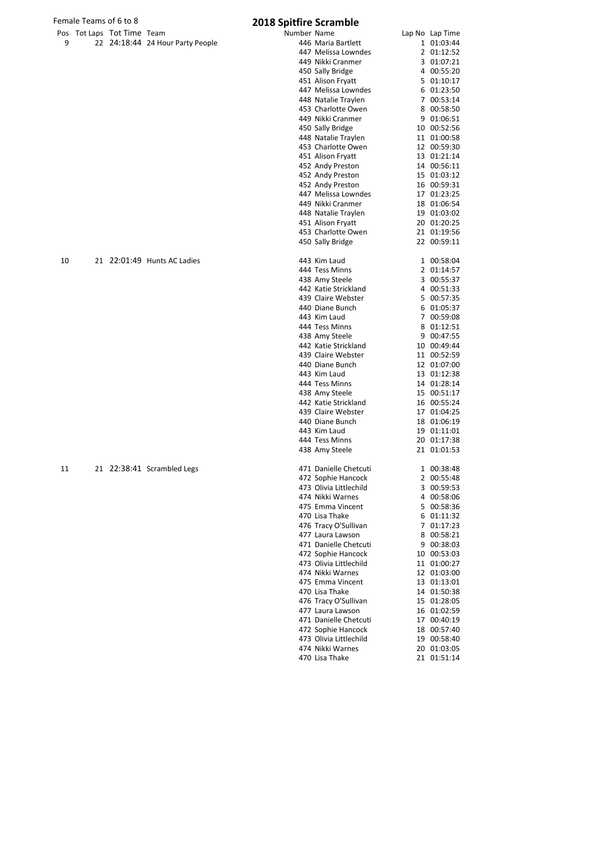# Female Teams of 6 to 8 **2018 Spitfire Scramble**

|  | rus TutLaps TutTime Team |                                  |
|--|--------------------------|----------------------------------|
|  |                          | 22 24:18:44 24 Hour Party People |

|    | Pos Tot Laps Tot Time Team |                                  | Number Name |                        | Lap No Lap Time |
|----|----------------------------|----------------------------------|-------------|------------------------|-----------------|
| 9  |                            | 22 24:18:44 24 Hour Party People |             | 446 Maria Bartlett     | 1 01:03:44      |
|    |                            |                                  |             | 447 Melissa Lowndes    | 2 01:12:52      |
|    |                            |                                  |             | 449 Nikki Cranmer      | 3 01:07:21      |
|    |                            |                                  |             | 450 Sally Bridge       | 4 00:55:20      |
|    |                            |                                  |             | 451 Alison Fryatt      | 5 01:10:17      |
|    |                            |                                  |             | 447 Melissa Lowndes    | 6 01:23:50      |
|    |                            |                                  |             | 448 Natalie Traylen    | 7 00:53:14      |
|    |                            |                                  |             | 453 Charlotte Owen     | 8 00:58:50      |
|    |                            |                                  |             | 449 Nikki Cranmer      | 9 01:06:51      |
|    |                            |                                  |             |                        |                 |
|    |                            |                                  |             | 450 Sally Bridge       | 10 00:52:56     |
|    |                            |                                  |             | 448 Natalie Traylen    | 11 01:00:58     |
|    |                            |                                  |             | 453 Charlotte Owen     | 12 00:59:30     |
|    |                            |                                  |             | 451 Alison Fryatt      | 13 01:21:14     |
|    |                            |                                  |             | 452 Andy Preston       | 14 00:56:11     |
|    |                            |                                  |             | 452 Andy Preston       | 15 01:03:12     |
|    |                            |                                  |             | 452 Andy Preston       | 16 00:59:31     |
|    |                            |                                  |             | 447 Melissa Lowndes    | 17 01:23:25     |
|    |                            |                                  |             | 449 Nikki Cranmer      | 18 01:06:54     |
|    |                            |                                  |             | 448 Natalie Traylen    | 19 01:03:02     |
|    |                            |                                  |             | 451 Alison Fryatt      | 20 01:20:25     |
|    |                            |                                  |             | 453 Charlotte Owen     | 21 01:19:56     |
|    |                            |                                  |             | 450 Sally Bridge       | 22 00:59:11     |
| 10 |                            | 21 22:01:49 Hunts AC Ladies      |             | 443 Kim Laud           | 1 00:58:04      |
|    |                            |                                  |             | 444 Tess Minns         | 2 01:14:57      |
|    |                            |                                  |             |                        |                 |
|    |                            |                                  |             | 438 Amy Steele         | 3 00:55:37      |
|    |                            |                                  |             | 442 Katie Strickland   | 4 00:51:33      |
|    |                            |                                  |             | 439 Claire Webster     | 5 00:57:35      |
|    |                            |                                  |             | 440 Diane Bunch        | 6 01:05:37      |
|    |                            |                                  |             | 443 Kim Laud           | 7 00:59:08      |
|    |                            |                                  |             | 444 Tess Minns         | 8 01:12:51      |
|    |                            |                                  |             | 438 Amy Steele         | 9 00:47:55      |
|    |                            |                                  |             | 442 Katie Strickland   | 10 00:49:44     |
|    |                            |                                  |             | 439 Claire Webster     | 11 00:52:59     |
|    |                            |                                  |             | 440 Diane Bunch        | 12 01:07:00     |
|    |                            |                                  |             | 443 Kim Laud           | 13 01:12:38     |
|    |                            |                                  |             | 444 Tess Minns         | 14 01:28:14     |
|    |                            |                                  |             | 438 Amy Steele         | 15 00:51:17     |
|    |                            |                                  |             | 442 Katie Strickland   | 16 00:55:24     |
|    |                            |                                  |             | 439 Claire Webster     | 17 01:04:25     |
|    |                            |                                  |             | 440 Diane Bunch        | 18 01:06:19     |
|    |                            |                                  |             | 443 Kim Laud           | 19 01:11:01     |
|    |                            |                                  |             | 444 Tess Minns         | 20 01:17:38     |
|    |                            |                                  |             |                        | 21 01:01:53     |
|    |                            |                                  |             | 438 Amy Steele         |                 |
| 11 |                            | 21 22:38:41 Scrambled Legs       |             | 471 Danielle Chetcuti  | 1 00:38:48      |
|    |                            |                                  |             | 472 Sophie Hancock     | 2 00:55:48      |
|    |                            |                                  |             | 473 Olivia Littlechild | 3 00:59:53      |
|    |                            |                                  |             | 474 Nikki Warnes       | 4 00:58:06      |
|    |                            |                                  |             | 475 Emma Vincent       | 5 00:58:36      |
|    |                            |                                  |             | 470 Lisa Thake         | 6 01:11:32      |
|    |                            |                                  |             | 476 Tracy O'Sullivan   | 7 01:17:23      |
|    |                            |                                  |             | 477 Laura Lawson       | 8 00:58:21      |
|    |                            |                                  |             | 471 Danielle Chetcuti  | 9 00:38:03      |
|    |                            |                                  |             | 472 Sophie Hancock     | 10 00:53:03     |
|    |                            |                                  |             | 473 Olivia Littlechild | 11 01:00:27     |
|    |                            |                                  |             | 474 Nikki Warnes       | 12 01:03:00     |
|    |                            |                                  |             |                        |                 |
|    |                            |                                  |             | 475 Emma Vincent       | 13 01:13:01     |
|    |                            |                                  |             | 470 Lisa Thake         | 14 01:50:38     |
|    |                            |                                  |             | 476 Tracy O'Sullivan   | 15 01:28:05     |
|    |                            |                                  |             | 477 Laura Lawson       | 16 01:02:59     |
|    |                            |                                  |             | 471 Danielle Chetcuti  | 17 00:40:19     |
|    |                            |                                  |             | 472 Sophie Hancock     | 18 00:57:40     |
|    |                            |                                  |             | 473 Olivia Littlechild | 19 00:58:40     |
|    |                            |                                  |             | 474 Nikki Warnes       | 20 01:03:05     |
|    |                            |                                  |             | 470 Lisa Thake         | 21 01:51:14     |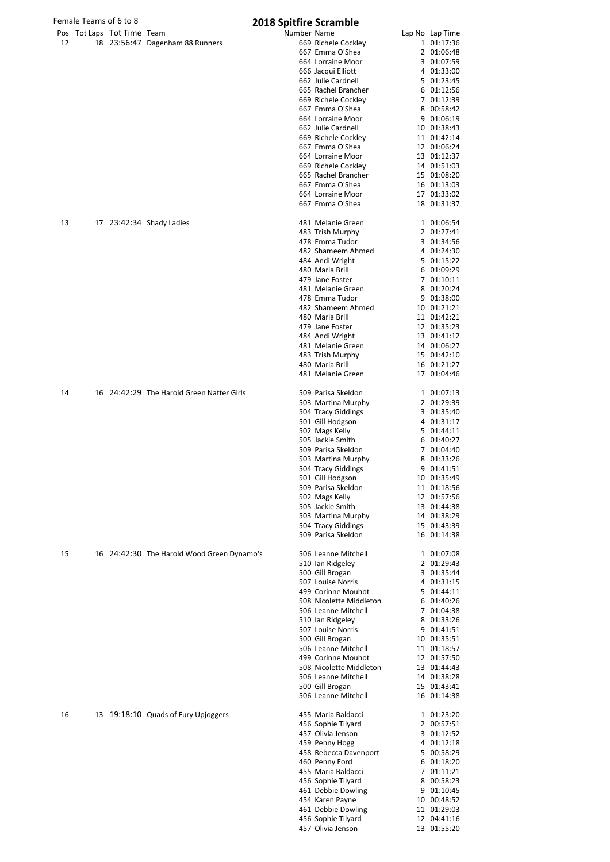|    | Female Teams of 6 to 8     |                                            | <b>2018 Spitfire Scramble</b> |                                          |                            |
|----|----------------------------|--------------------------------------------|-------------------------------|------------------------------------------|----------------------------|
|    | Pos Tot Laps Tot Time Team |                                            | Number Name                   |                                          | Lap No Lap Time            |
| 12 |                            | 18 23:56:47 Dagenham 88 Runners            |                               | 669 Richele Cockley                      | 1 01:17:36                 |
|    |                            |                                            |                               | 667 Emma O'Shea<br>664 Lorraine Moor     | 2 01:06:48                 |
|    |                            |                                            |                               | 666 Jacqui Elliott                       | 3 01:07:59<br>4 01:33:00   |
|    |                            |                                            |                               | 662 Julie Cardnell                       | 5 01:23:45                 |
|    |                            |                                            |                               | 665 Rachel Brancher                      | 6 01:12:56                 |
|    |                            |                                            |                               | 669 Richele Cockley                      | 7 01:12:39                 |
|    |                            |                                            |                               | 667 Emma O'Shea                          | 8 00:58:42                 |
|    |                            |                                            |                               | 664 Lorraine Moor                        | 9 01:06:19                 |
|    |                            |                                            |                               | 662 Julie Cardnell                       | 10 01:38:43                |
|    |                            |                                            |                               | 669 Richele Cockley                      | 11 01:42:14                |
|    |                            |                                            |                               | 667 Emma O'Shea                          | 12 01:06:24                |
|    |                            |                                            |                               | 664 Lorraine Moor<br>669 Richele Cockley | 13 01:12:37<br>14 01:51:03 |
|    |                            |                                            |                               | 665 Rachel Brancher                      | 15 01:08:20                |
|    |                            |                                            |                               | 667 Emma O'Shea                          | 16 01:13:03                |
|    |                            |                                            |                               | 664 Lorraine Moor                        | 17 01:33:02                |
|    |                            |                                            |                               | 667 Emma O'Shea                          | 18 01:31:37                |
| 13 |                            | 17 23:42:34 Shady Ladies                   |                               | 481 Melanie Green                        | 1 01:06:54                 |
|    |                            |                                            |                               | 483 Trish Murphy                         | 2 01:27:41                 |
|    |                            |                                            |                               | 478 Emma Tudor                           | 3 01:34:56                 |
|    |                            |                                            |                               | 482 Shameem Ahmed                        | 4 01:24:30                 |
|    |                            |                                            |                               | 484 Andi Wright                          | 5 01:15:22                 |
|    |                            |                                            |                               | 480 Maria Brill<br>479 Jane Foster       | 6 01:09:29                 |
|    |                            |                                            |                               |                                          | 7 01:10:11                 |
|    |                            |                                            |                               | 481 Melanie Green<br>478 Emma Tudor      | 8 01:20:24<br>9 01:38:00   |
|    |                            |                                            |                               | 482 Shameem Ahmed                        | 10 01:21:21                |
|    |                            |                                            |                               | 480 Maria Brill                          | 11 01:42:21                |
|    |                            |                                            |                               | 479 Jane Foster                          | 12 01:35:23                |
|    |                            |                                            |                               | 484 Andi Wright                          | 13 01:41:12                |
|    |                            |                                            |                               | 481 Melanie Green                        | 14 01:06:27                |
|    |                            |                                            |                               | 483 Trish Murphy                         | 15 01:42:10                |
|    |                            |                                            |                               | 480 Maria Brill                          | 16 01:21:27                |
|    |                            |                                            |                               | 481 Melanie Green                        | 17 01:04:46                |
| 14 |                            | 16 24:42:29 The Harold Green Natter Girls  |                               | 509 Parisa Skeldon                       | 1 01:07:13                 |
|    |                            |                                            |                               | 503 Martina Murphy                       | 2 01:29:39                 |
|    |                            |                                            |                               | 504 Tracy Giddings                       | 3 01:35:40                 |
|    |                            |                                            |                               | 501 Gill Hodgson                         | 4 01:31:17                 |
|    |                            |                                            |                               | 502 Mags Kelly                           | 5 01:44:11                 |
|    |                            |                                            |                               | 505 Jackie Smith                         | 6 01:40:27                 |
|    |                            |                                            |                               | 509 Parisa Skeldon                       | 7 01:04:40                 |
|    |                            |                                            |                               | 503 Martina Murphy                       | 8 01:33:26                 |
|    |                            |                                            |                               | 504 Tracy Giddings                       | 9 01:41:51                 |
|    |                            |                                            |                               | 501 Gill Hodgson                         | 10 01:35:49                |
|    |                            |                                            |                               | 509 Parisa Skeldon<br>502 Mags Kelly     | 11 01:18:56<br>12 01:57:56 |
|    |                            |                                            |                               | 505 Jackie Smith                         | 13 01:44:38                |
|    |                            |                                            |                               | 503 Martina Murphy                       | 14 01:38:29                |
|    |                            |                                            |                               | 504 Tracy Giddings                       | 15 01:43:39                |
|    |                            |                                            |                               | 509 Parisa Skeldon                       | 16 01:14:38                |
| 15 |                            | 16 24:42:30 The Harold Wood Green Dynamo's |                               | 506 Leanne Mitchell                      | 1 01:07:08                 |
|    |                            |                                            |                               | 510 Ian Ridgeley                         | 2 01:29:43                 |
|    |                            |                                            |                               | 500 Gill Brogan                          | 3 01:35:44                 |
|    |                            |                                            |                               | 507 Louise Norris                        | 4 01:31:15                 |
|    |                            |                                            |                               | 499 Corinne Mouhot                       | 5 01:44:11                 |
|    |                            |                                            |                               | 508 Nicolette Middleton                  | 6 01:40:26                 |
|    |                            |                                            |                               | 506 Leanne Mitchell                      | 7 01:04:38                 |
|    |                            |                                            |                               | 510 Ian Ridgeley                         | 8 01:33:26                 |
|    |                            |                                            |                               | 507 Louise Norris<br>500 Gill Brogan     | 9 01:41:51<br>10 01:35:51  |
|    |                            |                                            |                               | 506 Leanne Mitchell                      | 11 01:18:57                |
|    |                            |                                            |                               | 499 Corinne Mouhot                       | 12 01:57:50                |
|    |                            |                                            |                               | 508 Nicolette Middleton                  | 13 01:44:43                |
|    |                            |                                            |                               | 506 Leanne Mitchell                      | 14 01:38:28                |
|    |                            |                                            |                               | 500 Gill Brogan                          | 15 01:43:41                |
|    |                            |                                            |                               | 506 Leanne Mitchell                      | 16 01:14:38                |
| 16 |                            | 13 19:18:10 Quads of Fury Upjoggers        |                               | 455 Maria Baldacci                       | 1 01:23:20                 |
|    |                            |                                            |                               | 456 Sophie Tilyard                       | 2 00:57:51                 |
|    |                            |                                            |                               | 457 Olivia Jenson                        | 3 01:12:52                 |
|    |                            |                                            |                               | 459 Penny Hogg                           | 4 01:12:18                 |
|    |                            |                                            |                               | 458 Rebecca Davenport                    | 5 00:58:29                 |
|    |                            |                                            |                               | 460 Penny Ford                           | 6 01:18:20                 |
|    |                            |                                            |                               | 455 Maria Baldacci                       | 7 01:11:21                 |
|    |                            |                                            |                               | 456 Sophie Tilyard                       | 8 00:58:23                 |
|    |                            |                                            |                               | 461 Debbie Dowling                       | 9 01:10:45                 |
|    |                            |                                            |                               | 454 Karen Payne<br>461 Debbie Dowling    | 10 00:48:52<br>11 01:29:03 |
|    |                            |                                            |                               | 456 Sophie Tilyard                       | 12 04:41:16                |
|    |                            |                                            |                               | 457 Olivia Jenson                        | 13 01:55:20                |
|    |                            |                                            |                               |                                          |                            |